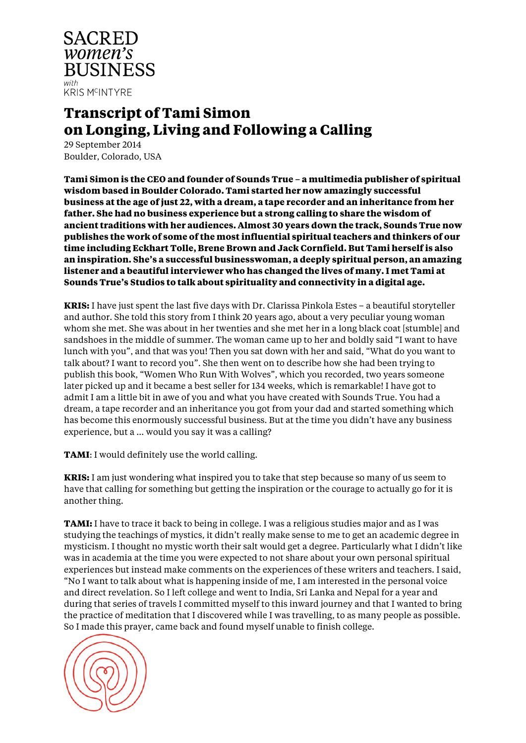

# **Transcript of Tami Simon on Longing, Living and Following a Calling**

29 September 2014 Boulder, Colorado, USA

**Tami Simon is the CEO and founder of Sounds True – a multimedia publisher of spiritual wisdom based in Boulder Colorado. Tami started her now amazingly successful business at the age of just 22, with a dream, a tape recorder and an inheritance from her father. She had no business experience but a strong calling to share the wisdom of ancient traditions with her audiences. Almost 30 years down the track, Sounds True now publishes the work of some of the most influential spiritual teachers and thinkers of our time including Eckhart Tolle, Brene Brown and Jack Cornfield. But Tami herself is also an inspiration. She's a successful businesswoman, a deeply spiritual person, an amazing listener and a beautiful interviewer who has changed the lives of many. I met Tami at Sounds True's Studios to talk about spirituality and connectivity in a digital age.**

**KRIS:** I have just spent the last five days with Dr. Clarissa Pinkola Estes – a beautiful storyteller and author. She told this story from I think 20 years ago, about a very peculiar young woman whom she met. She was about in her twenties and she met her in a long black coat [stumble] and sandshoes in the middle of summer. The woman came up to her and boldly said "I want to have lunch with you", and that was you! Then you sat down with her and said, "What do you want to talk about? I want to record you". She then went on to describe how she had been trying to publish this book, "Women Who Run With Wolves", which you recorded, two years someone later picked up and it became a best seller for 134 weeks, which is remarkable! I have got to admit I am a little bit in awe of you and what you have created with Sounds True. You had a dream, a tape recorder and an inheritance you got from your dad and started something which has become this enormously successful business. But at the time you didn't have any business experience, but a … would you say it was a calling?

**TAMI**: I would definitely use the world calling.

**KRIS:** I am just wondering what inspired you to take that step because so many of us seem to have that calling for something but getting the inspiration or the courage to actually go for it is another thing.

**TAMI:** I have to trace it back to being in college. I was a religious studies major and as I was studying the teachings of mystics, it didn't really make sense to me to get an academic degree in mysticism. I thought no mystic worth their salt would get a degree. Particularly what I didn't like was in academia at the time you were expected to not share about your own personal spiritual experiences but instead make comments on the experiences of these writers and teachers. I said, "No I want to talk about what is happening inside of me, I am interested in the personal voice and direct revelation. So I left college and went to India, Sri Lanka and Nepal for a year and during that series of travels I committed myself to this inward journey and that I wanted to bring the practice of meditation that I discovered while I was travelling, to as many people as possible. So I made this prayer, came back and found myself unable to finish college.

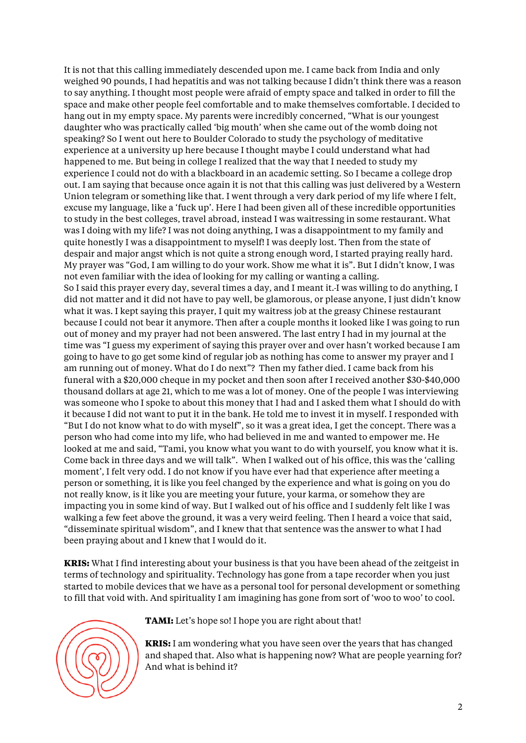It is not that this calling immediately descended upon me. I came back from India and only weighed 90 pounds, I had hepatitis and was not talking because I didn't think there was a reason to say anything. I thought most people were afraid of empty space and talked in order to fill the space and make other people feel comfortable and to make themselves comfortable. I decided to hang out in my empty space. My parents were incredibly concerned, "What is our youngest daughter who was practically called 'big mouth' when she came out of the womb doing not speaking? So I went out here to Boulder Colorado to study the psychology of meditative experience at a university up here because I thought maybe I could understand what had happened to me. But being in college I realized that the way that I needed to study my experience I could not do with a blackboard in an academic setting. So I became a college drop out. I am saying that because once again it is not that this calling was just delivered by a Western Union telegram or something like that. I went through a very dark period of my life where I felt, excuse my language, like a 'fuck up'. Here I had been given all of these incredible opportunities to study in the best colleges, travel abroad, instead I was waitressing in some restaurant. What was I doing with my life? I was not doing anything, I was a disappointment to my family and quite honestly I was a disappointment to myself! I was deeply lost. Then from the state of despair and major angst which is not quite a strong enough word, I started praying really hard. My prayer was "God, I am willing to do your work. Show me what it is". But I didn't know, I was not even familiar with the idea of looking for my calling or wanting a calling. So I said this prayer every day, several times a day, and I meant it. I was willing to do anything, I did not matter and it did not have to pay well, be glamorous, or please anyone, I just didn't know what it was. I kept saying this prayer, I quit my waitress job at the greasy Chinese restaurant because I could not bear it anymore. Then after a couple months it looked like I was going to run out of money and my prayer had not been answered. The last entry I had in my journal at the time was "I guess my experiment of saying this prayer over and over hasn't worked because I am going to have to go get some kind of regular job as nothing has come to answer my prayer and I am running out of money. What do I do next"? Then my father died. I came back from his funeral with a \$20,000 cheque in my pocket and then soon after I received another \$30-\$40,000 thousand dollars at age 21, which to me was a lot of money. One of the people I was interviewing was someone who I spoke to about this money that I had and I asked them what I should do with it because I did not want to put it in the bank. He told me to invest it in myself. I responded with "But I do not know what to do with myself", so it was a great idea, I get the concept. There was a person who had come into my life, who had believed in me and wanted to empower me. He looked at me and said, "Tami, you know what you want to do with yourself, you know what it is. Come back in three days and we will talk". When I walked out of his office, this was the 'calling moment', I felt very odd. I do not know if you have ever had that experience after meeting a person or something, it is like you feel changed by the experience and what is going on you do not really know, is it like you are meeting your future, your karma, or somehow they are impacting you in some kind of way. But I walked out of his office and I suddenly felt like I was walking a few feet above the ground, it was a very weird feeling. Then I heard a voice that said, "disseminate spiritual wisdom", and I knew that that sentence was the answer to what I had been praying about and I knew that I would do it.

**KRIS:** What I find interesting about your business is that you have been ahead of the zeitgeist in terms of technology and spirituality. Technology has gone from a tape recorder when you just started to mobile devices that we have as a personal tool for personal development or something to fill that void with. And spirituality I am imagining has gone from sort of 'woo to woo' to cool.



**TAMI:** Let's hope so! I hope you are right about that!

**KRIS:** I am wondering what you have seen over the years that has changed and shaped that. Also what is happening now? What are people yearning for? And what is behind it?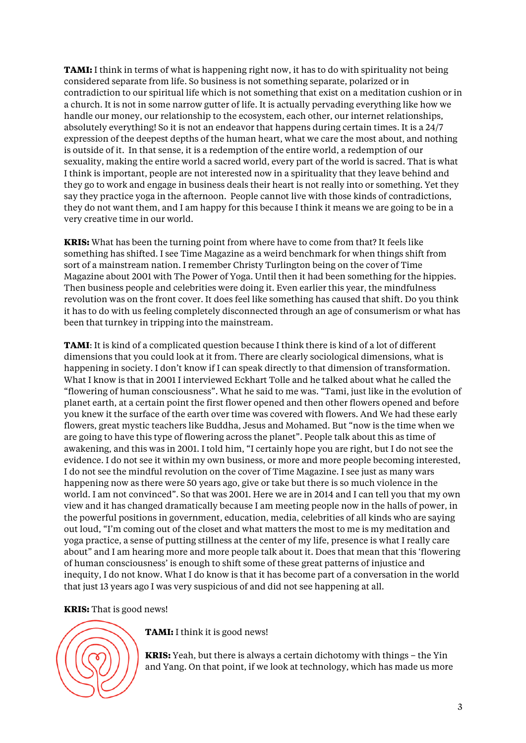**TAMI:** I think in terms of what is happening right now, it has to do with spirituality not being considered separate from life. So business is not something separate, polarized or in contradiction to our spiritual life which is not something that exist on a meditation cushion or in a church. It is not in some narrow gutter of life. It is actually pervading everything like how we handle our money, our relationship to the ecosystem, each other, our internet relationships, absolutely everything! So it is not an endeavor that happens during certain times. It is a 24/7 expression of the deepest depths of the human heart, what we care the most about, and nothing is outside of it. In that sense, it is a redemption of the entire world, a redemption of our sexuality, making the entire world a sacred world, every part of the world is sacred. That is what I think is important, people are not interested now in a spirituality that they leave behind and they go to work and engage in business deals their heart is not really into or something. Yet they say they practice yoga in the afternoon. People cannot live with those kinds of contradictions, they do not want them, and I am happy for this because I think it means we are going to be in a very creative time in our world.

**KRIS:** What has been the turning point from where have to come from that? It feels like something has shifted. I see Time Magazine as a weird benchmark for when things shift from sort of a mainstream nation. I remember Christy Turlington being on the cover of Time Magazine about 2001 with The Power of Yoga. Until then it had been something for the hippies. Then business people and celebrities were doing it. Even earlier this year, the mindfulness revolution was on the front cover. It does feel like something has caused that shift. Do you think it has to do with us feeling completely disconnected through an age of consumerism or what has been that turnkey in tripping into the mainstream.

**TAMI**: It is kind of a complicated question because I think there is kind of a lot of different dimensions that you could look at it from. There are clearly sociological dimensions, what is happening in society. I don't know if I can speak directly to that dimension of transformation. What I know is that in 2001 I interviewed Eckhart Tolle and he talked about what he called the "flowering of human consciousness". What he said to me was. "Tami, just like in the evolution of planet earth, at a certain point the first flower opened and then other flowers opened and before you knew it the surface of the earth over time was covered with flowers. And We had these early flowers, great mystic teachers like Buddha, Jesus and Mohamed. But "now is the time when we are going to have this type of flowering across the planet". People talk about this as time of awakening, and this was in 2001. I told him, "I certainly hope you are right, but I do not see the evidence. I do not see it within my own business, or more and more people becoming interested, I do not see the mindful revolution on the cover of Time Magazine. I see just as many wars happening now as there were 50 years ago, give or take but there is so much violence in the world. I am not convinced". So that was 2001. Here we are in 2014 and I can tell you that my own view and it has changed dramatically because I am meeting people now in the halls of power, in the powerful positions in government, education, media, celebrities of all kinds who are saying out loud, "I'm coming out of the closet and what matters the most to me is my meditation and yoga practice, a sense of putting stillness at the center of my life, presence is what I really care about" and I am hearing more and more people talk about it. Does that mean that this 'flowering of human consciousness' is enough to shift some of these great patterns of injustice and inequity, I do not know. What I do know is that it has become part of a conversation in the world that just 13 years ago I was very suspicious of and did not see happening at all.

**KRIS:** That is good news!



**TAMI:** I think it is good news!

**KRIS:** Yeah, but there is always a certain dichotomy with things – the Yin and Yang. On that point, if we look at technology, which has made us more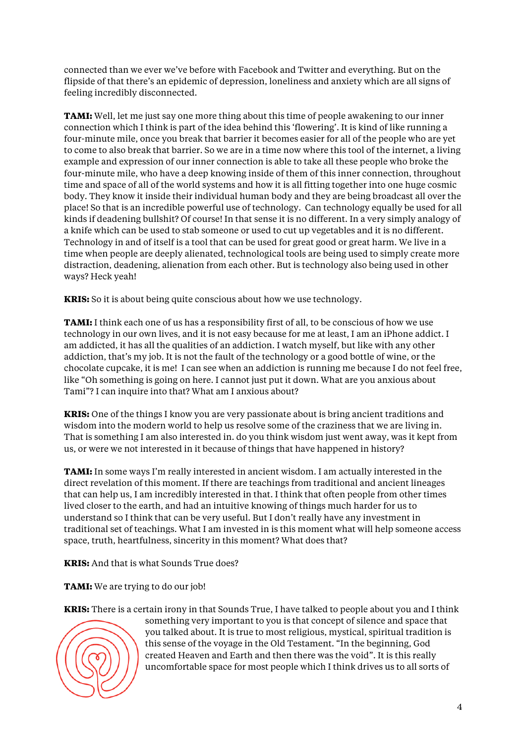connected than we ever we've before with Facebook and Twitter and everything. But on the flipside of that there's an epidemic of depression, loneliness and anxiety which are all signs of feeling incredibly disconnected.

**TAMI:** Well, let me just say one more thing about this time of people awakening to our inner connection which I think is part of the idea behind this 'flowering'. It is kind of like running a four-minute mile, once you break that barrier it becomes easier for all of the people who are yet to come to also break that barrier. So we are in a time now where this tool of the internet, a living example and expression of our inner connection is able to take all these people who broke the four-minute mile, who have a deep knowing inside of them of this inner connection, throughout time and space of all of the world systems and how it is all fitting together into one huge cosmic body. They know it inside their individual human body and they are being broadcast all over the place! So that is an incredible powerful use of technology. Can technology equally be used for all kinds if deadening bullshit? Of course! In that sense it is no different. In a very simply analogy of a knife which can be used to stab someone or used to cut up vegetables and it is no different. Technology in and of itself is a tool that can be used for great good or great harm. We live in a time when people are deeply alienated, technological tools are being used to simply create more distraction, deadening, alienation from each other. But is technology also being used in other ways? Heck yeah!

**KRIS:** So it is about being quite conscious about how we use technology.

**TAMI:** I think each one of us has a responsibility first of all, to be conscious of how we use technology in our own lives, and it is not easy because for me at least, I am an iPhone addict. I am addicted, it has all the qualities of an addiction. I watch myself, but like with any other addiction, that's my job. It is not the fault of the technology or a good bottle of wine, or the chocolate cupcake, it is me! I can see when an addiction is running me because I do not feel free, like "Oh something is going on here. I cannot just put it down. What are you anxious about Tami"? I can inquire into that? What am I anxious about?

**KRIS:** One of the things I know you are very passionate about is bring ancient traditions and wisdom into the modern world to help us resolve some of the craziness that we are living in. That is something I am also interested in. do you think wisdom just went away, was it kept from us, or were we not interested in it because of things that have happened in history?

**TAMI:** In some ways I'm really interested in ancient wisdom. I am actually interested in the direct revelation of this moment. If there are teachings from traditional and ancient lineages that can help us, I am incredibly interested in that. I think that often people from other times lived closer to the earth, and had an intuitive knowing of things much harder for us to understand so I think that can be very useful. But I don't really have any investment in traditional set of teachings. What I am invested in is this moment what will help someone access space, truth, heartfulness, sincerity in this moment? What does that?

**KRIS:** And that is what Sounds True does?

**TAMI:** We are trying to do our job!

**KRIS:** There is a certain irony in that Sounds True, I have talked to people about you and I think



something very important to you is that concept of silence and space that you talked about. It is true to most religious, mystical, spiritual tradition is this sense of the voyage in the Old Testament. "In the beginning, God created Heaven and Earth and then there was the void". It is this really uncomfortable space for most people which I think drives us to all sorts of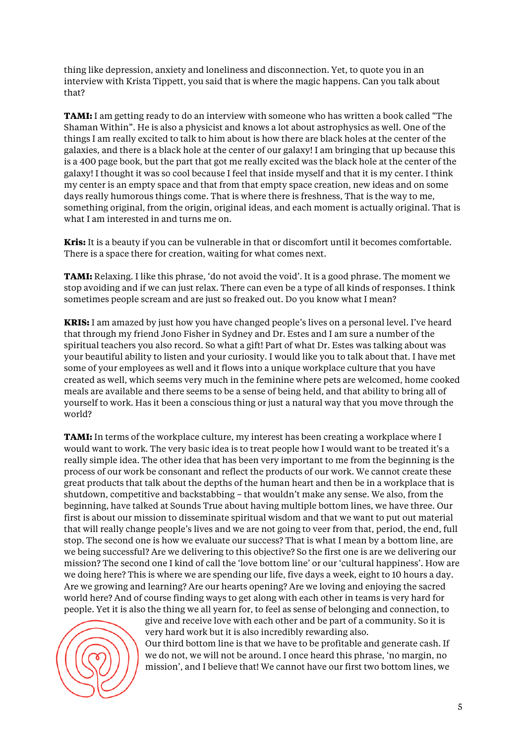thing like depression, anxiety and loneliness and disconnection. Yet, to quote you in an interview with Krista Tippett, you said that is where the magic happens. Can you talk about that?

**TAMI:** I am getting ready to do an interview with someone who has written a book called "The Shaman Within". He is also a physicist and knows a lot about astrophysics as well. One of the things I am really excited to talk to him about is how there are black holes at the center of the galaxies, and there is a black hole at the center of our galaxy! I am bringing that up because this is a 400 page book, but the part that got me really excited was the black hole at the center of the galaxy! I thought it was so cool because I feel that inside myself and that it is my center. I think my center is an empty space and that from that empty space creation, new ideas and on some days really humorous things come. That is where there is freshness, That is the way to me, something original, from the origin, original ideas, and each moment is actually original. That is what I am interested in and turns me on.

**Kris:** It is a beauty if you can be vulnerable in that or discomfort until it becomes comfortable. There is a space there for creation, waiting for what comes next.

**TAMI:** Relaxing. I like this phrase, 'do not avoid the void'. It is a good phrase. The moment we stop avoiding and if we can just relax. There can even be a type of all kinds of responses. I think sometimes people scream and are just so freaked out. Do you know what I mean?

**KRIS:** I am amazed by just how you have changed people's lives on a personal level. I've heard that through my friend Jono Fisher in Sydney and Dr. Estes and I am sure a number of the spiritual teachers you also record. So what a gift! Part of what Dr. Estes was talking about was your beautiful ability to listen and your curiosity. I would like you to talk about that. I have met some of your employees as well and it flows into a unique workplace culture that you have created as well, which seems very much in the feminine where pets are welcomed, home cooked meals are available and there seems to be a sense of being held, and that ability to bring all of yourself to work. Has it been a conscious thing or just a natural way that you move through the world?

**TAMI:** In terms of the workplace culture, my interest has been creating a workplace where I would want to work. The very basic idea is to treat people how I would want to be treated it's a really simple idea. The other idea that has been very important to me from the beginning is the process of our work be consonant and reflect the products of our work. We cannot create these great products that talk about the depths of the human heart and then be in a workplace that is shutdown, competitive and backstabbing – that wouldn't make any sense. We also, from the beginning, have talked at Sounds True about having multiple bottom lines, we have three. Our first is about our mission to disseminate spiritual wisdom and that we want to put out material that will really change people's lives and we are not going to veer from that, period, the end, full stop. The second one is how we evaluate our success? That is what I mean by a bottom line, are we being successful? Are we delivering to this objective? So the first one is are we delivering our mission? The second one I kind of call the 'love bottom line' or our 'cultural happiness'. How are we doing here? This is where we are spending our life, five days a week, eight to 10 hours a day. Are we growing and learning? Are our hearts opening? Are we loving and enjoying the sacred world here? And of course finding ways to get along with each other in teams is very hard for people. Yet it is also the thing we all yearn for, to feel as sense of belonging and connection, to



give and receive love with each other and be part of a community. So it is very hard work but it is also incredibly rewarding also. Our third bottom line is that we have to be profitable and generate cash. If we do not, we will not be around. I once heard this phrase, 'no margin, no mission', and I believe that! We cannot have our first two bottom lines, we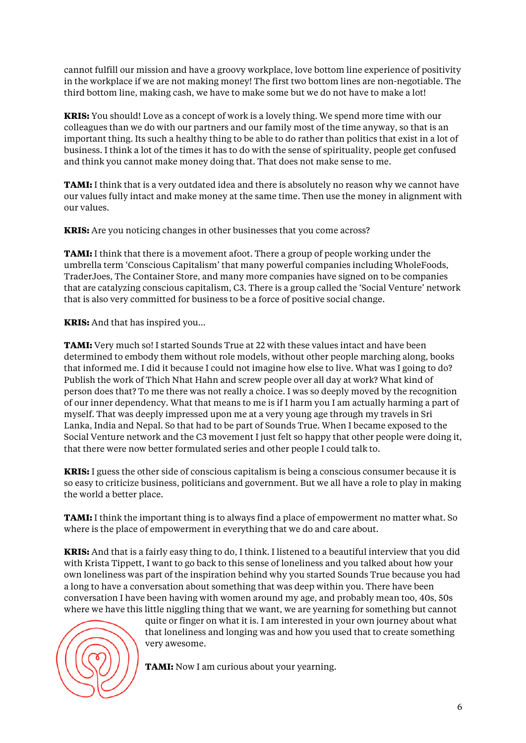cannot fulfill our mission and have a groovy workplace, love bottom line experience of positivity in the workplace if we are not making money! The first two bottom lines are non-negotiable. The third bottom line, making cash, we have to make some but we do not have to make a lot!

**KRIS:** You should! Love as a concept of work is a lovely thing. We spend more time with our colleagues than we do with our partners and our family most of the time anyway, so that is an important thing. Its such a healthy thing to be able to do rather than politics that exist in a lot of business. I think a lot of the times it has to do with the sense of spirituality, people get confused and think you cannot make money doing that. That does not make sense to me.

**TAMI:** I think that is a very outdated idea and there is absolutely no reason why we cannot have our values fully intact and make money at the same time. Then use the money in alignment with our values.

**KRIS:** Are you noticing changes in other businesses that you come across?

**TAMI:** I think that there is a movement afoot. There a group of people working under the umbrella term 'Conscious Capitalism' that many powerful companies including WholeFoods, TraderJoes, The Container Store, and many more companies have signed on to be companies that are catalyzing conscious capitalism, C3. There is a group called the 'Social Venture' network that is also very committed for business to be a force of positive social change.

**KRIS:** And that has inspired you…

**TAMI:** Very much so! I started Sounds True at 22 with these values intact and have been determined to embody them without role models, without other people marching along, books that informed me. I did it because I could not imagine how else to live. What was I going to do? Publish the work of Thich Nhat Hahn and screw people over all day at work? What kind of person does that? To me there was not really a choice. I was so deeply moved by the recognition of our inner dependency. What that means to me is if I harm you I am actually harming a part of myself. That was deeply impressed upon me at a very young age through my travels in Sri Lanka, India and Nepal. So that had to be part of Sounds True. When I became exposed to the Social Venture network and the C3 movement I just felt so happy that other people were doing it, that there were now better formulated series and other people I could talk to.

**KRIS:** I guess the other side of conscious capitalism is being a conscious consumer because it is so easy to criticize business, politicians and government. But we all have a role to play in making the world a better place.

**TAMI:** I think the important thing is to always find a place of empowerment no matter what. So where is the place of empowerment in everything that we do and care about.

**KRIS:** And that is a fairly easy thing to do, I think. I listened to a beautiful interview that you did with Krista Tippett, I want to go back to this sense of loneliness and you talked about how your own loneliness was part of the inspiration behind why you started Sounds True because you had a long to have a conversation about something that was deep within you. There have been conversation I have been having with women around my age, and probably mean too, 40s, 50s where we have this little niggling thing that we want, we are yearning for something but cannot



quite or finger on what it is. I am interested in your own journey about what that loneliness and longing was and how you used that to create something very awesome.

**TAMI:** Now I am curious about your yearning.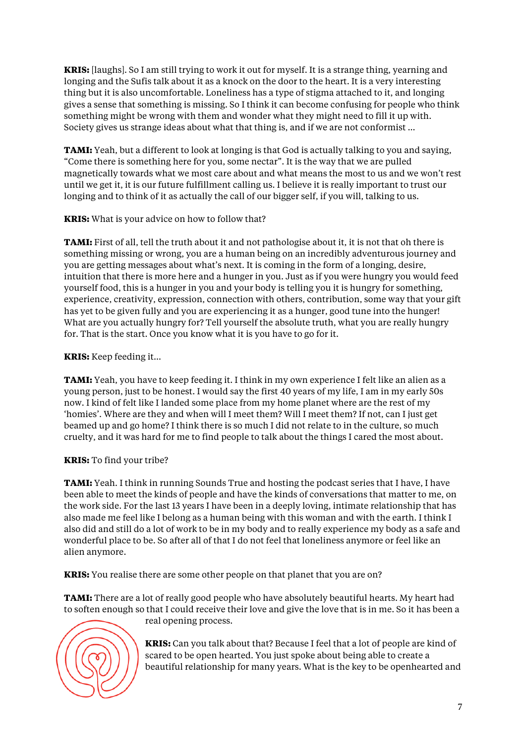**KRIS:** [laughs]. So I am still trying to work it out for myself. It is a strange thing, yearning and longing and the Sufis talk about it as a knock on the door to the heart. It is a very interesting thing but it is also uncomfortable. Loneliness has a type of stigma attached to it, and longing gives a sense that something is missing. So I think it can become confusing for people who think something might be wrong with them and wonder what they might need to fill it up with. Society gives us strange ideas about what that thing is, and if we are not conformist …

**TAMI:** Yeah, but a different to look at longing is that God is actually talking to you and saying, "Come there is something here for you, some nectar". It is the way that we are pulled magnetically towards what we most care about and what means the most to us and we won't rest until we get it, it is our future fulfillment calling us. I believe it is really important to trust our longing and to think of it as actually the call of our bigger self, if you will, talking to us.

**KRIS:** What is your advice on how to follow that?

**TAMI:** First of all, tell the truth about it and not pathologise about it, it is not that oh there is something missing or wrong, you are a human being on an incredibly adventurous journey and you are getting messages about what's next. It is coming in the form of a longing, desire, intuition that there is more here and a hunger in you. Just as if you were hungry you would feed yourself food, this is a hunger in you and your body is telling you it is hungry for something, experience, creativity, expression, connection with others, contribution, some way that your gift has yet to be given fully and you are experiencing it as a hunger, good tune into the hunger! What are you actually hungry for? Tell yourself the absolute truth, what you are really hungry for. That is the start. Once you know what it is you have to go for it.

# **KRIS:** Keep feeding it…

**TAMI:** Yeah, you have to keep feeding it. I think in my own experience I felt like an alien as a young person, just to be honest. I would say the first 40 years of my life, I am in my early 50s now. I kind of felt like I landed some place from my home planet where are the rest of my 'homies'. Where are they and when will I meet them? Will I meet them? If not, can I just get beamed up and go home? I think there is so much I did not relate to in the culture, so much cruelty, and it was hard for me to find people to talk about the things I cared the most about.

# **KRIS:** To find your tribe?

**TAMI:** Yeah. I think in running Sounds True and hosting the podcast series that I have, I have been able to meet the kinds of people and have the kinds of conversations that matter to me, on the work side. For the last 13 years I have been in a deeply loving, intimate relationship that has also made me feel like I belong as a human being with this woman and with the earth. I think I also did and still do a lot of work to be in my body and to really experience my body as a safe and wonderful place to be. So after all of that I do not feel that loneliness anymore or feel like an alien anymore.

**KRIS:** You realise there are some other people on that planet that you are on?

**TAMI:** There are a lot of really good people who have absolutely beautiful hearts. My heart had to soften enough so that I could receive their love and give the love that is in me. So it has been a



real opening process.

**KRIS:** Can you talk about that? Because I feel that a lot of people are kind of scared to be open hearted. You just spoke about being able to create a beautiful relationship for many years. What is the key to be openhearted and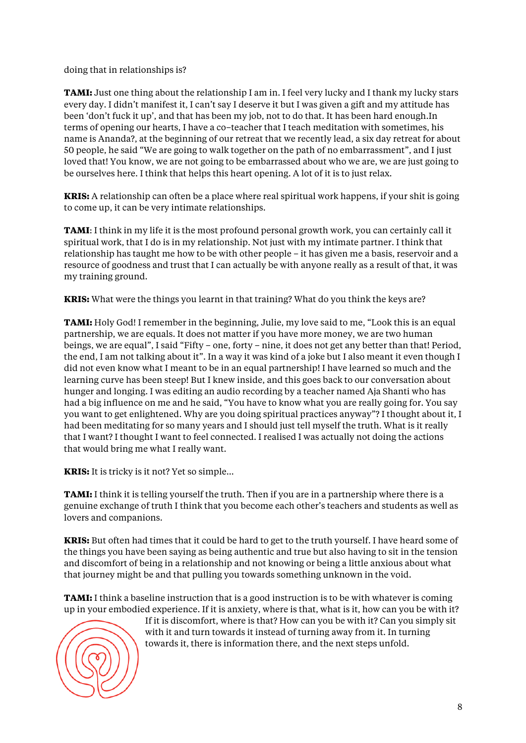doing that in relationships is?

**TAMI:** Just one thing about the relationship I am in. I feel very lucky and I thank my lucky stars every day. I didn't manifest it, I can't say I deserve it but I was given a gift and my attitude has been 'don't fuck it up', and that has been my job, not to do that. It has been hard enough.In terms of opening our hearts, I have a co–teacher that I teach meditation with sometimes, his name is Ananda?, at the beginning of our retreat that we recently lead, a six day retreat for about 50 people, he said "We are going to walk together on the path of no embarrassment", and I just loved that! You know, we are not going to be embarrassed about who we are, we are just going to be ourselves here. I think that helps this heart opening. A lot of it is to just relax.

**KRIS:** A relationship can often be a place where real spiritual work happens, if your shit is going to come up, it can be very intimate relationships.

**TAMI**: I think in my life it is the most profound personal growth work, you can certainly call it spiritual work, that I do is in my relationship. Not just with my intimate partner. I think that relationship has taught me how to be with other people – it has given me a basis, reservoir and a resource of goodness and trust that I can actually be with anyone really as a result of that, it was my training ground.

**KRIS:** What were the things you learnt in that training? What do you think the keys are?

**TAMI:** Holy God! I remember in the beginning, Julie, my love said to me, "Look this is an equal partnership, we are equals. It does not matter if you have more money, we are two human beings, we are equal", I said "Fifty – one, forty – nine, it does not get any better than that! Period, the end, I am not talking about it". In a way it was kind of a joke but I also meant it even though I did not even know what I meant to be in an equal partnership! I have learned so much and the learning curve has been steep! But I knew inside, and this goes back to our conversation about hunger and longing. I was editing an audio recording by a teacher named Aja Shanti who has had a big influence on me and he said, "You have to know what you are really going for. You say you want to get enlightened. Why are you doing spiritual practices anyway"? I thought about it, I had been meditating for so many years and I should just tell myself the truth. What is it really that I want? I thought I want to feel connected. I realised I was actually not doing the actions that would bring me what I really want.

**KRIS:** It is tricky is it not? Yet so simple…

**TAMI:** I think it is telling yourself the truth. Then if you are in a partnership where there is a genuine exchange of truth I think that you become each other's teachers and students as well as lovers and companions.

**KRIS:** But often had times that it could be hard to get to the truth yourself. I have heard some of the things you have been saying as being authentic and true but also having to sit in the tension and discomfort of being in a relationship and not knowing or being a little anxious about what that journey might be and that pulling you towards something unknown in the void.

**TAMI:** I think a baseline instruction that is a good instruction is to be with whatever is coming up in your embodied experience. If it is anxiety, where is that, what is it, how can you be with it?



If it is discomfort, where is that? How can you be with it? Can you simply sit with it and turn towards it instead of turning away from it. In turning towards it, there is information there, and the next steps unfold.